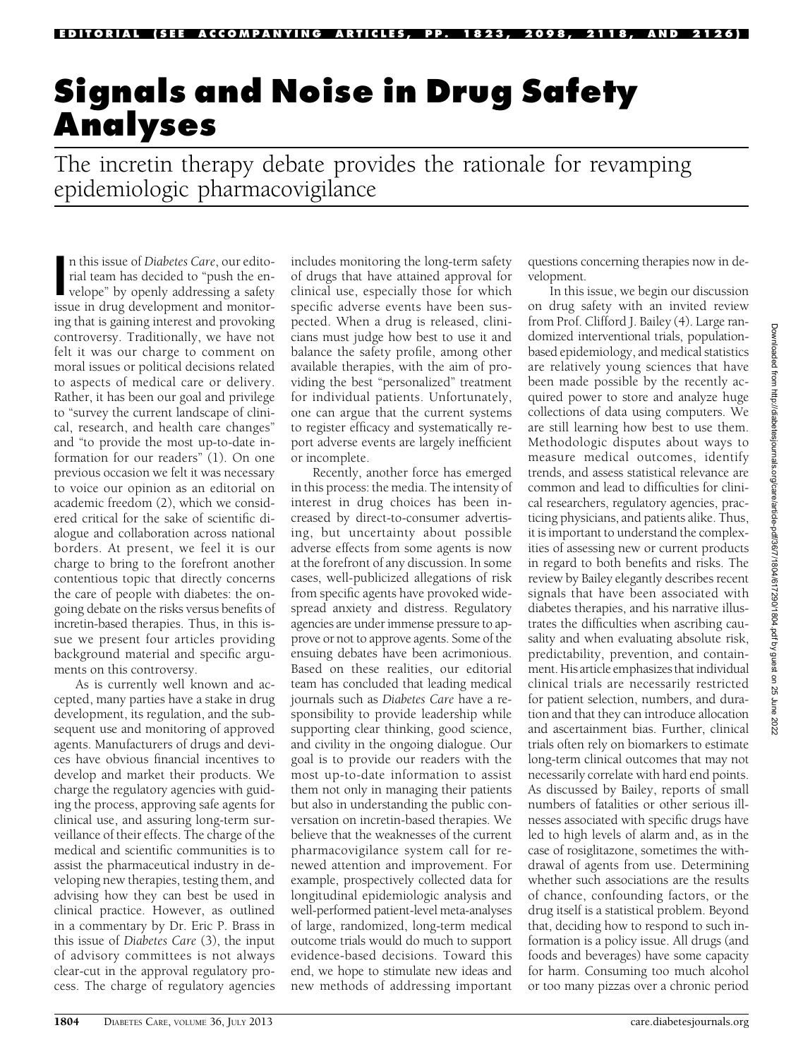## Signals and Noise in Drug Safety Analyses

EDITORIAL (SEE ACCOMPANYING ARTICLES, PP. 1823, 2098, 2118, AND 2126)

The incretin therapy debate provides the rationale for revamping epidemiologic pharmacovigilance

In this issue of *Diabetes Care*, our editorial team has decided to "push the envelope" by openly addressing a safety issue in drug development and monitorn this issue of Diabetes Care, our editorial team has decided to "push the envelope" by openly addressing a safety ing that is gaining interest and provoking controversy. Traditionally, we have not felt it was our charge to comment on moral issues or political decisions related to aspects of medical care or delivery. Rather, it has been our goal and privilege to "survey the current landscape of clinical, research, and health care changes" and "to provide the most up-to-date information for our readers" (1). On one previous occasion we felt it was necessary to voice our opinion as an editorial on academic freedom (2), which we considered critical for the sake of scientific dialogue and collaboration across national borders. At present, we feel it is our charge to bring to the forefront another contentious topic that directly concerns the care of people with diabetes: the ongoing debate on the risks versus benefits of incretin-based therapies. Thus, in this issue we present four articles providing background material and specific arguments on this controversy.

As is currently well known and accepted, many parties have a stake in drug development, its regulation, and the subsequent use and monitoring of approved agents. Manufacturers of drugs and devices have obvious financial incentives to develop and market their products. We charge the regulatory agencies with guiding the process, approving safe agents for clinical use, and assuring long-term surveillance of their effects. The charge of the medical and scientific communities is to assist the pharmaceutical industry in developing new therapies, testing them, and advising how they can best be used in clinical practice. However, as outlined in a commentary by Dr. Eric P. Brass in this issue of Diabetes Care (3), the input of advisory committees is not always clear-cut in the approval regulatory process. The charge of regulatory agencies includes monitoring the long-term safety of drugs that have attained approval for clinical use, especially those for which specific adverse events have been suspected. When a drug is released, clinicians must judge how best to use it and balance the safety profile, among other available therapies, with the aim of providing the best "personalized" treatment for individual patients. Unfortunately, one can argue that the current systems to register efficacy and systematically report adverse events are largely inefficient or incomplete.

Recently, another force has emerged in this process: the media. The intensity of interest in drug choices has been increased by direct-to-consumer advertising, but uncertainty about possible adverse effects from some agents is now at the forefront of any discussion. In some cases, well-publicized allegations of risk from specific agents have provoked widespread anxiety and distress. Regulatory agencies are under immense pressure to approve or not to approve agents. Some of the ensuing debates have been acrimonious. Based on these realities, our editorial team has concluded that leading medical journals such as Diabetes Care have a responsibility to provide leadership while supporting clear thinking, good science, and civility in the ongoing dialogue. Our goal is to provide our readers with the most up-to-date information to assist them not only in managing their patients but also in understanding the public conversation on incretin-based therapies. We believe that the weaknesses of the current pharmacovigilance system call for renewed attention and improvement. For example, prospectively collected data for longitudinal epidemiologic analysis and well-performed patient-level meta-analyses of large, randomized, long-term medical outcome trials would do much to support evidence-based decisions. Toward this end, we hope to stimulate new ideas and new methods of addressing important

questions concerning therapies now in development.

In this issue, we begin our discussion on drug safety with an invited review from Prof. Clifford J. Bailey (4). Large randomized interventional trials, populationbased epidemiology, and medical statistics are relatively young sciences that have been made possible by the recently acquired power to store and analyze huge collections of data using computers. We are still learning how best to use them. Methodologic disputes about ways to measure medical outcomes, identify trends, and assess statistical relevance are common and lead to difficulties for clinical researchers, regulatory agencies, practicing physicians, and patients alike. Thus, it is important to understand the complexities of assessing new or current products in regard to both benefits and risks. The review by Bailey elegantly describes recent signals that have been associated with diabetes therapies, and his narrative illustrates the difficulties when ascribing causality and when evaluating absolute risk, predictability, prevention, and containment. His article emphasizes that individual clinical trials are necessarily restricted for patient selection, numbers, and duration and that they can introduce allocation and ascertainment bias. Further, clinical trials often rely on biomarkers to estimate long-term clinical outcomes that may not necessarily correlate with hard end points. As discussed by Bailey, reports of small numbers of fatalities or other serious illnesses associated with specific drugs have led to high levels of alarm and, as in the case of rosiglitazone, sometimes the withdrawal of agents from use. Determining whether such associations are the results of chance, confounding factors, or the drug itself is a statistical problem. Beyond that, deciding how to respond to such information is a policy issue. All drugs (and foods and beverages) have some capacity for harm. Consuming too much alcohol or too many pizzas over a chronic period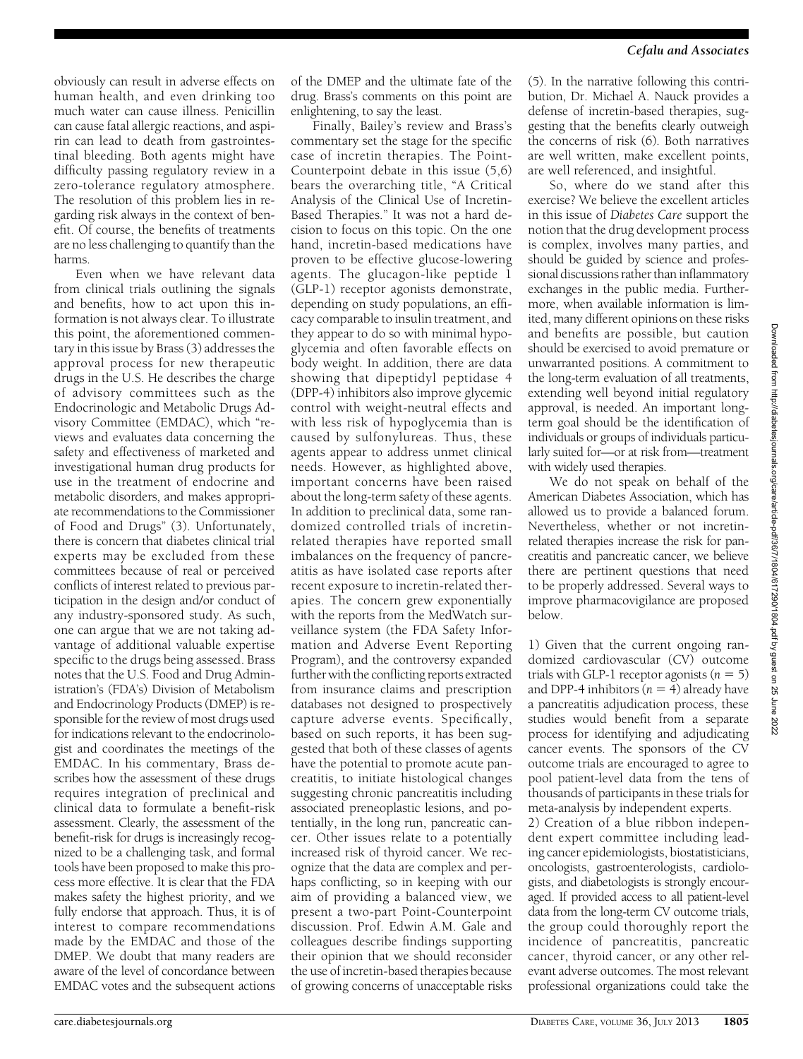obviously can result in adverse effects on human health, and even drinking too much water can cause illness. Penicillin can cause fatal allergic reactions, and aspirin can lead to death from gastrointestinal bleeding. Both agents might have difficulty passing regulatory review in a zero-tolerance regulatory atmosphere. The resolution of this problem lies in regarding risk always in the context of benefit. Of course, the benefits of treatments are no less challenging to quantify than the harms.

Even when we have relevant data from clinical trials outlining the signals and benefits, how to act upon this information is not always clear. To illustrate this point, the aforementioned commentary in this issue by Brass (3) addresses the approval process for new therapeutic drugs in the U.S. He describes the charge of advisory committees such as the Endocrinologic and Metabolic Drugs Advisory Committee (EMDAC), which "reviews and evaluates data concerning the safety and effectiveness of marketed and investigational human drug products for use in the treatment of endocrine and metabolic disorders, and makes appropriate recommendations to the Commissioner of Food and Drugs" (3). Unfortunately, there is concern that diabetes clinical trial experts may be excluded from these committees because of real or perceived conflicts of interest related to previous participation in the design and/or conduct of any industry-sponsored study. As such, one can argue that we are not taking advantage of additional valuable expertise specific to the drugs being assessed. Brass notes that the U.S. Food and Drug Administration's (FDA's) Division of Metabolism and Endocrinology Products (DMEP) is responsible for the review of most drugs used for indications relevant to the endocrinologist and coordinates the meetings of the EMDAC. In his commentary, Brass describes how the assessment of these drugs requires integration of preclinical and clinical data to formulate a benefit-risk assessment. Clearly, the assessment of the benefit-risk for drugs is increasingly recognized to be a challenging task, and formal tools have been proposed to make this process more effective. It is clear that the FDA makes safety the highest priority, and we fully endorse that approach. Thus, it is of interest to compare recommendations made by the EMDAC and those of the DMEP. We doubt that many readers are aware of the level of concordance between EMDAC votes and the subsequent actions

of the DMEP and the ultimate fate of the drug. Brass's comments on this point are enlightening, to say the least.

Finally, Bailey's review and Brass's commentary set the stage for the specific case of incretin therapies. The Point-Counterpoint debate in this issue (5,6) bears the overarching title, "A Critical Analysis of the Clinical Use of Incretin-Based Therapies." It was not a hard decision to focus on this topic. On the one hand, incretin-based medications have proven to be effective glucose-lowering agents. The glucagon-like peptide 1 (GLP-1) receptor agonists demonstrate, depending on study populations, an efficacy comparable to insulin treatment, and they appear to do so with minimal hypoglycemia and often favorable effects on body weight. In addition, there are data showing that dipeptidyl peptidase 4 (DPP-4) inhibitors also improve glycemic control with weight-neutral effects and with less risk of hypoglycemia than is caused by sulfonylureas. Thus, these agents appear to address unmet clinical needs. However, as highlighted above, important concerns have been raised about the long-term safety of these agents. In addition to preclinical data, some randomized controlled trials of incretinrelated therapies have reported small imbalances on the frequency of pancreatitis as have isolated case reports after recent exposure to incretin-related therapies. The concern grew exponentially with the reports from the MedWatch surveillance system (the FDA Safety Information and Adverse Event Reporting Program), and the controversy expanded further with the conflicting reports extracted from insurance claims and prescription databases not designed to prospectively capture adverse events. Specifically, based on such reports, it has been suggested that both of these classes of agents have the potential to promote acute pancreatitis, to initiate histological changes suggesting chronic pancreatitis including associated preneoplastic lesions, and potentially, in the long run, pancreatic cancer. Other issues relate to a potentially increased risk of thyroid cancer. We recognize that the data are complex and perhaps conflicting, so in keeping with our aim of providing a balanced view, we present a two-part Point-Counterpoint discussion. Prof. Edwin A.M. Gale and colleagues describe findings supporting their opinion that we should reconsider the use of incretin-based therapies because of growing concerns of unacceptable risks

(5). In the narrative following this contribution, Dr. Michael A. Nauck provides a defense of incretin-based therapies, suggesting that the benefits clearly outweigh the concerns of risk (6). Both narratives are well written, make excellent points, are well referenced, and insightful.

So, where do we stand after this exercise? We believe the excellent articles in this issue of Diabetes Care support the notion that the drug development process is complex, involves many parties, and should be guided by science and professional discussions rather than inflammatory exchanges in the public media. Furthermore, when available information is limited, many different opinions on these risks and benefits are possible, but caution should be exercised to avoid premature or unwarranted positions. A commitment to the long-term evaluation of all treatments, extending well beyond initial regulatory approval, is needed. An important longterm goal should be the identification of individuals or groups of individuals particularly suited for—or at risk from—treatment with widely used therapies.

We do not speak on behalf of the American Diabetes Association, which has allowed us to provide a balanced forum. Nevertheless, whether or not incretinrelated therapies increase the risk for pancreatitis and pancreatic cancer, we believe there are pertinent questions that need to be properly addressed. Several ways to improve pharmacovigilance are proposed below.

1) Given that the current ongoing randomized cardiovascular (CV) outcome trials with GLP-1 receptor agonists  $(n = 5)$ and DPP-4 inhibitors ( $n = 4$ ) already have a pancreatitis adjudication process, these studies would benefit from a separate process for identifying and adjudicating cancer events. The sponsors of the CV outcome trials are encouraged to agree to pool patient-level data from the tens of thousands of participants in these trials for meta-analysis by independent experts.

2) Creation of a blue ribbon independent expert committee including leading cancer epidemiologists, biostatisticians, oncologists, gastroenterologists, cardiologists, and diabetologists is strongly encouraged. If provided access to all patient-level data from the long-term CV outcome trials, the group could thoroughly report the incidence of pancreatitis, pancreatic cancer, thyroid cancer, or any other relevant adverse outcomes. The most relevant professional organizations could take the